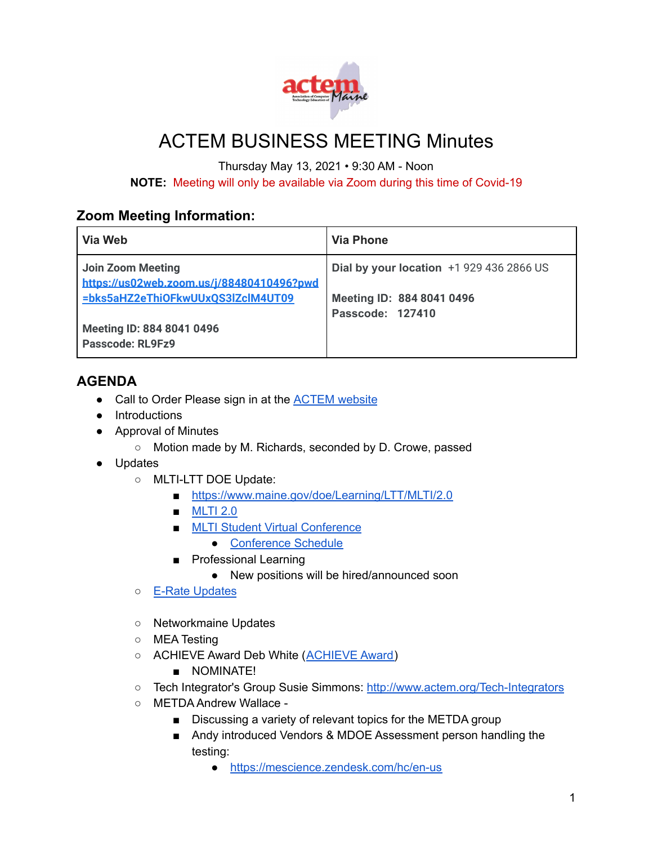

## ACTEM BUSINESS MEETING Minutes

Thursday May 13, 2021 • 9:30 AM - Noon

**NOTE:** Meeting will only be available via Zoom during this time of Covid-19

## **Zoom Meeting Information:**

| Via Web                                                        | <b>Via Phone</b>                              |
|----------------------------------------------------------------|-----------------------------------------------|
| Join Zoom Meeting<br>https://us02web.zoom.us/j/88480410496?pwd | Dial by your location $+1$ 929 436 2866 US    |
| =bks5aHZ2eThiOFkwUUxQS3lZclM4UT09                              | Meeting ID: 884 8041 0496<br>Passcode: 127410 |
| Meeting ID: 884 8041 0496<br>Passcode: RL9Fz9                  |                                               |

## **AGENDA**

- Call to Order Please sign in at the **[ACTEM](https://docs.google.com/forms/d/e/1FAIpQLSeYQyg9SyUVDdkvJ7SBDoo4DEfrKK1Y_w7DH7GUFsu16T-OvA/viewform?fbzx=-352363821844841307)** website
- Introductions
- Approval of Minutes
	- Motion made by M. Richards, seconded by D. Crowe, passed
- Updates
	- MLTI-LTT DOE Update:
		- <https://www.maine.gov/doe/Learning/LTT/MLTI/2.0>
		- **[MLTI](https://docs.google.com/presentation/d/1Usx9GCClc4ZELGQOVGgBBbVHGrZIunmprOU5a0JRXQ8/edit?usp=sharing) 2.0**
		- MLTI Student Virtual [Conference](https://www.maine.gov/doe/learning/ltt/conference)
			- [Conference](https://mlticonference.com/conference/conference-schedule/) Schedule
		- Professional Learning
			- New positions will be hired/announced soon
	- E-Rate [Updates](https://drive.google.com/file/d/1FqHUs8GWbhShL1iMKxrfEbK7Smadedqg/view?usp=sharing)
	- Networkmaine Updates
	- MEA Testing
	- [ACHIEVE](http://www.actem.org/AchieveAward) Award Deb White (ACHIEVE Award)
		- NOMINATE!
	- Tech Integrator's Group Susie Simmons: <http://www.actem.org/Tech-Integrators>
	- METDA Andrew Wallace
		- Discussing a variety of relevant topics for the METDA group
		- Andy introduced Vendors & MDOE Assessment person handling the testing:
			- <https://mescience.zendesk.com/hc/en-us>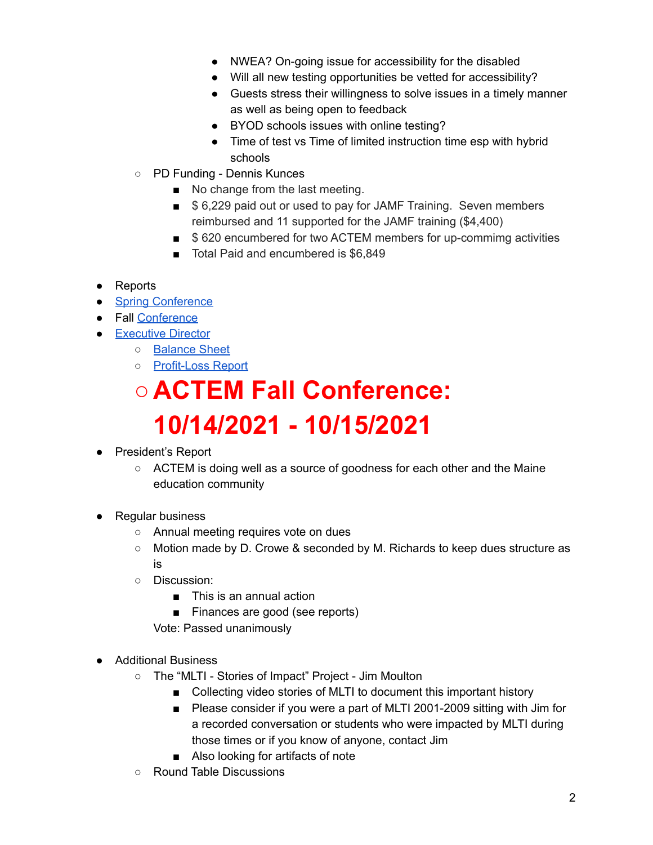- NWEA? On-going issue for accessibility for the disabled
- Will all new testing opportunities be vetted for accessibility?
- Guests stress their willingness to solve issues in a timely manner as well as being open to feedback
- BYOD schools issues with online testing?
- Time of test vs Time of limited instruction time esp with hybrid schools
- PD Funding Dennis Kunces
	- No change from the last meeting.
	- \$ 6,229 paid out or used to pay for JAMF Training. Seven members reimbursed and 11 supported for the JAMF training (\$4,400)
	- \$620 encumbered for two ACTEM members for up-commimg activities
	- Total Paid and encumbered is \$6,849
- Reports
- Spring [Conference](https://drive.google.com/file/d/1TSruoWr302mXDOdO77PyU8l7ddTCQJQY/view?usp=sharing)
- Fall [Conference](https://docs.google.com/document/d/1O4SkpG9xZgK3VezxucRrwpcbikhAkPFiF5-TRuxIqwA/edit?usp=sharing)
- [Executive](https://docs.google.com/document/d/1MNAGJaU866YpuMBxU2l0FOGi45rPEGrVy0BivAS4F5s/edit?usp=sharing) Director
	- [Balance](https://drive.google.com/file/d/1sfV02_Ae-dAWMP8Eu8z2UqEUdPrizKmj/view?usp=sharing) Sheet
	- [Profit-Loss](https://drive.google.com/file/d/1TGJTV7GwvgscE4ONPYnLCeWhlNM8Bb_H/view?usp=sharing) Report

## **○ ACTEM Fall Conference: 10/14/2021 - 10/15/2021**

- President's Report
	- $\circ$  ACTEM is doing well as a source of goodness for each other and the Maine education community
- Regular business
	- Annual meeting requires vote on dues
	- Motion made by D. Crowe & seconded by M. Richards to keep dues structure as is
	- Discussion:
		- This is an annual action
		- Finances are good (see reports)

Vote: Passed unanimously

- Additional Business
	- The "MLTI Stories of Impact" Project Jim Moulton
		- Collecting video stories of MLTI to document this important history
		- Please consider if you were a part of MLTI 2001-2009 sitting with Jim for a recorded conversation or students who were impacted by MLTI during those times or if you know of anyone, contact Jim
		- Also looking for artifacts of note
	- Round Table Discussions